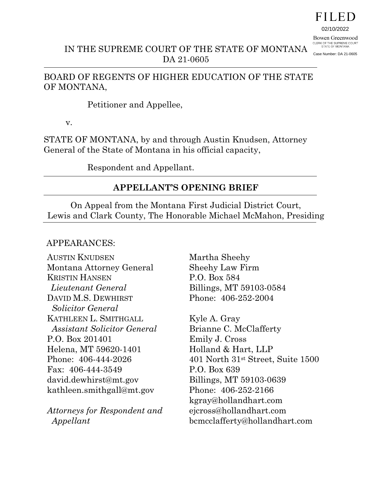# FILED

02/10/2022

Bowen Greenwood CLERK OF THE SUPREME COURT<br>STATE OF MONTANA

IN THE SUPREME COURT OF THE STATE OF MONTANA DA 21-0605 Case Number: DA 21-0605

# BOARD OF REGENTS OF HIGHER EDUCATION OF THE STATE OF MONTANA,

Petitioner and Appellee,

v.

STATE OF MONTANA, by and through Austin Knudsen, Attorney General of the State of Montana in his official capacity,

Respondent and Appellant.

# **APPELLANT'S OPENING BRIEF**

On Appeal from the Montana First Judicial District Court, Lewis and Clark County, The Honorable Michael McMahon, Presiding

# APPEARANCES:

AUSTIN KNUDSEN Montana Attorney General KRISTIN HANSEN  *Lieutenant General* DAVID M.S. DEWHIRST  *Solicitor General* KATHLEEN L. SMITHGALL  *Assistant Solicitor General* P.O. Box 201401 Helena, MT 59620-1401 Phone: 406-444-2026 Fax: 406-444-3549 david.dewhirst@mt.gov kathleen.smithgall@mt.gov

*Attorneys for Respondent and Appellant*

Martha Sheehy Sheehy Law Firm P.O. Box 584 Billings, MT 59103-0584 Phone: 406-252-2004

Kyle A. Gray Brianne C. McClafferty Emily J. Cross Holland & Hart, LLP 401 North 31st Street, Suite 1500 P.O. Box 639 Billings, MT 59103-0639 Phone: 406-252-2166 kgray@hollandhart.com ejcross@hollandhart.com bcmcclafferty@hollandhart.com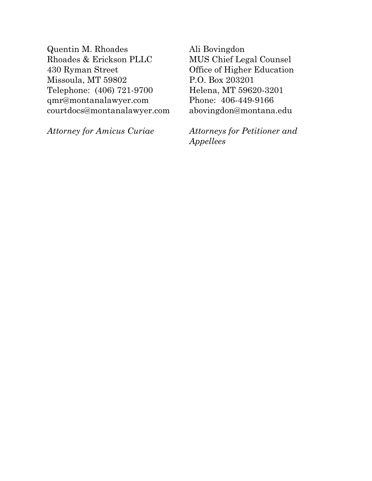Quentin M. Rhoades Rhoades & Erickson PLLC 430 Ryman Street Missoula, MT 59802 Telephone: (406) 721-9700 qmr@montanalawyer.com courtdocs@montanalawyer.com

*Attorney for Amicus Curiae* 

Ali Bovingdon MUS Chief Legal Counsel Office of Higher Education P.O. Box 203201 Helena, MT 59620-3201 Phone: 406-449-9166 abovingdon@montana.edu

*Attorneys for Petitioner and Appellees*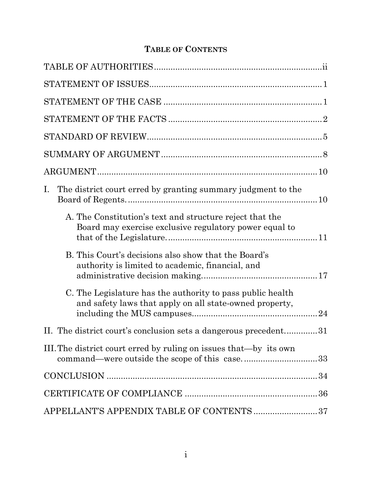# **TABLE OF CONTENTS**

| $\rm I.$<br>The district court erred by granting summary judgment to the                                              |  |
|-----------------------------------------------------------------------------------------------------------------------|--|
| A. The Constitution's text and structure reject that the<br>Board may exercise exclusive regulatory power equal to    |  |
| B. This Court's decisions also show that the Board's<br>authority is limited to academic, financial, and              |  |
| C. The Legislature has the authority to pass public health<br>and safety laws that apply on all state-owned property, |  |
| The district court's conclusion sets a dangerous precedent31                                                          |  |
| III. The district court erred by ruling on issues that—by its own<br>command—were outside the scope of this case33    |  |
|                                                                                                                       |  |
|                                                                                                                       |  |
| APPELLANT'S APPENDIX TABLE OF CONTENTS 37                                                                             |  |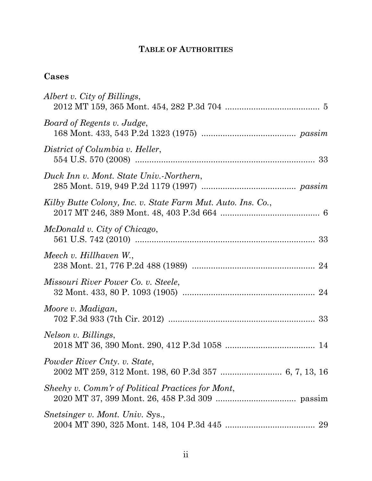# **TABLE OF AUTHORITIES**

# **Cases**

| Albert v. City of Billings,                                 |
|-------------------------------------------------------------|
| Board of Regents v. Judge,                                  |
| District of Columbia v. Heller,                             |
| Duck Inn v. Mont. State Univ.-Northern,                     |
| Kilby Butte Colony, Inc. v. State Farm Mut. Auto. Ins. Co., |
| McDonald v. City of Chicago,                                |
| Meech v. Hillhaven W.,                                      |
| Missouri River Power Co. v. Steele,                         |
| Moore v. Madigan,                                           |
| Nelson v. Billings,                                         |
| Powder River Cnty. v. State,                                |
| Sheehy v. Comm'r of Political Practices for Mont,           |
| Snetsinger v. Mont. Univ. Sys.,<br>29                       |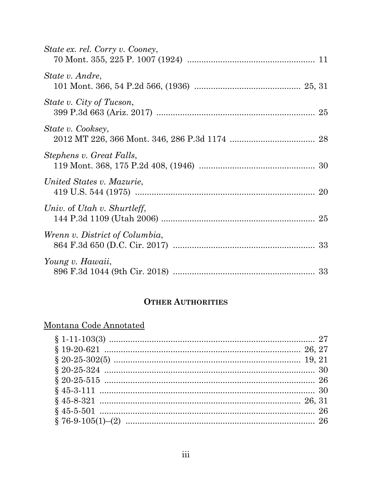| State ex. rel. Corry v. Cooney, |  |
|---------------------------------|--|
| State v. Andre,                 |  |
| State v. City of Tucson,        |  |
| State v. Cooksey,               |  |
| Stephens v. Great Falls,        |  |
| United States v. Mazurie,       |  |
| Univ. of Utah v. Shurtleff,     |  |
| Wrenn v. District of Columbia,  |  |
| Young v. Hawaii,                |  |

# **OTHER AUTHORITIES**

| Montana Code Annotated |  |
|------------------------|--|
|                        |  |
|                        |  |
|                        |  |
|                        |  |
|                        |  |
|                        |  |
|                        |  |
|                        |  |
|                        |  |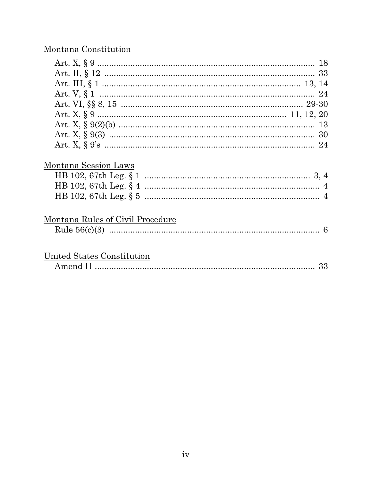# Montana Constitution

| Montana Session Laws             |    |
|----------------------------------|----|
|                                  |    |
|                                  |    |
|                                  |    |
| Montana Rules of Civil Procedure |    |
|                                  |    |
|                                  |    |
| United States Constitution       |    |
|                                  | 33 |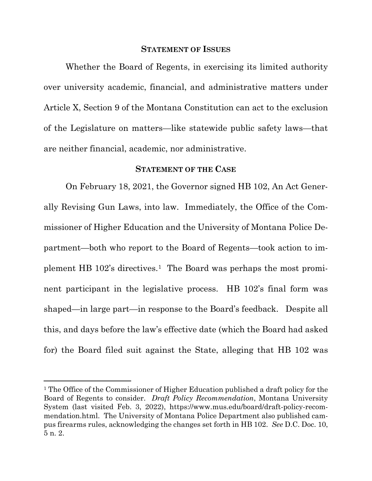#### **STATEMENT OF ISSUES**

Whether the Board of Regents, in exercising its limited authority over university academic, financial, and administrative matters under Article X, Section 9 of the Montana Constitution can act to the exclusion of the Legislature on matters—like statewide public safety laws—that are neither financial, academic, nor administrative.

#### **STATEMENT OF THE CASE**

On February 18, 2021, the Governor signed HB 102, An Act Generally Revising Gun Laws, into law. Immediately, the Office of the Commissioner of Higher Education and the University of Montana Police Department—both who report to the Board of Regents—took action to implement HB 102's directives.1 The Board was perhaps the most prominent participant in the legislative process. HB 102's final form was shaped—in large part—in response to the Board's feedback. Despite all this, and days before the law's effective date (which the Board had asked for) the Board filed suit against the State, alleging that HB 102 was

<sup>1</sup> The Office of the Commissioner of Higher Education published a draft policy for the Board of Regents to consider. *Draft Policy Recommendation*, Montana University System (last visited Feb. 3, 2022), https://www.mus.edu/board/draft-policy-recommendation.html. The University of Montana Police Department also published campus firearms rules, acknowledging the changes set forth in HB 102. *See* D.C. Doc. 10, 5 n. 2.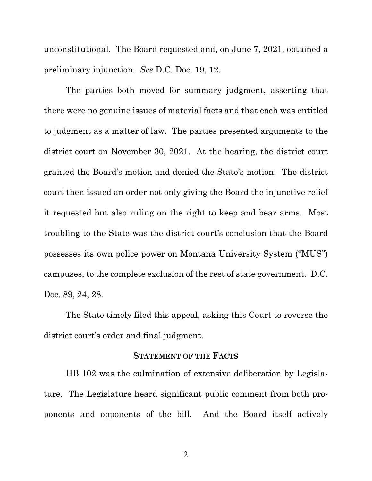unconstitutional. The Board requested and, on June 7, 2021, obtained a preliminary injunction. *See* D.C. Doc. 19, 12.

The parties both moved for summary judgment, asserting that there were no genuine issues of material facts and that each was entitled to judgment as a matter of law. The parties presented arguments to the district court on November 30, 2021. At the hearing, the district court granted the Board's motion and denied the State's motion. The district court then issued an order not only giving the Board the injunctive relief it requested but also ruling on the right to keep and bear arms. Most troubling to the State was the district court's conclusion that the Board possesses its own police power on Montana University System ("MUS") campuses, to the complete exclusion of the rest of state government. D.C. Doc. 89, 24, 28.

The State timely filed this appeal, asking this Court to reverse the district court's order and final judgment.

### **STATEMENT OF THE FACTS**

HB 102 was the culmination of extensive deliberation by Legislature. The Legislature heard significant public comment from both proponents and opponents of the bill. And the Board itself actively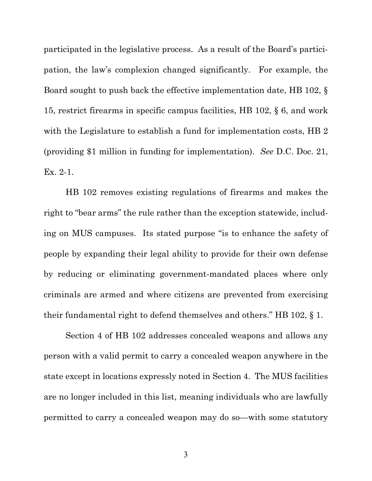participated in the legislative process. As a result of the Board's participation, the law's complexion changed significantly. For example, the Board sought to push back the effective implementation date, HB 102, § 15, restrict firearms in specific campus facilities, HB 102, § 6, and work with the Legislature to establish a fund for implementation costs, HB 2 (providing \$1 million in funding for implementation). *See* D.C. Doc. 21, Ex. 2-1.

HB 102 removes existing regulations of firearms and makes the right to "bear arms" the rule rather than the exception statewide, including on MUS campuses. Its stated purpose "is to enhance the safety of people by expanding their legal ability to provide for their own defense by reducing or eliminating government-mandated places where only criminals are armed and where citizens are prevented from exercising their fundamental right to defend themselves and others." HB 102, § 1.

Section 4 of HB 102 addresses concealed weapons and allows any person with a valid permit to carry a concealed weapon anywhere in the state except in locations expressly noted in Section 4. The MUS facilities are no longer included in this list, meaning individuals who are lawfully permitted to carry a concealed weapon may do so—with some statutory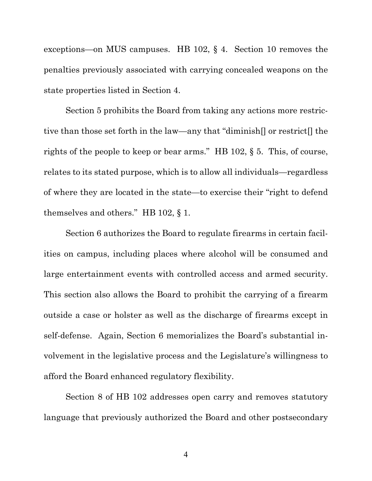exceptions—on MUS campuses. HB 102, § 4. Section 10 removes the penalties previously associated with carrying concealed weapons on the state properties listed in Section 4.

Section 5 prohibits the Board from taking any actions more restrictive than those set forth in the law—any that "diminish[] or restrict[] the rights of the people to keep or bear arms." HB 102, § 5. This, of course, relates to its stated purpose, which is to allow all individuals—regardless of where they are located in the state—to exercise their "right to defend themselves and others." HB 102, § 1.

Section 6 authorizes the Board to regulate firearms in certain facilities on campus, including places where alcohol will be consumed and large entertainment events with controlled access and armed security. This section also allows the Board to prohibit the carrying of a firearm outside a case or holster as well as the discharge of firearms except in self-defense. Again, Section 6 memorializes the Board's substantial involvement in the legislative process and the Legislature's willingness to afford the Board enhanced regulatory flexibility.

Section 8 of HB 102 addresses open carry and removes statutory language that previously authorized the Board and other postsecondary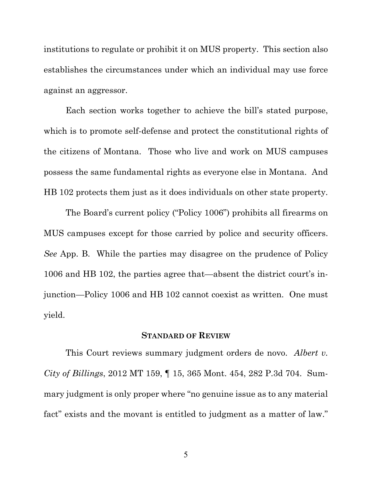institutions to regulate or prohibit it on MUS property. This section also establishes the circumstances under which an individual may use force against an aggressor.

Each section works together to achieve the bill's stated purpose, which is to promote self-defense and protect the constitutional rights of the citizens of Montana. Those who live and work on MUS campuses possess the same fundamental rights as everyone else in Montana. And HB 102 protects them just as it does individuals on other state property.

The Board's current policy ("Policy 1006") prohibits all firearms on MUS campuses except for those carried by police and security officers. *See* App. B. While the parties may disagree on the prudence of Policy 1006 and HB 102, the parties agree that—absent the district court's injunction—Policy 1006 and HB 102 cannot coexist as written. One must yield.

#### **STANDARD OF REVIEW**

This Court reviews summary judgment orders de novo. *Albert v. City of Billings*, 2012 MT 159, ¶ 15, 365 Mont. 454, 282 P.3d 704. Summary judgment is only proper where "no genuine issue as to any material fact" exists and the movant is entitled to judgment as a matter of law."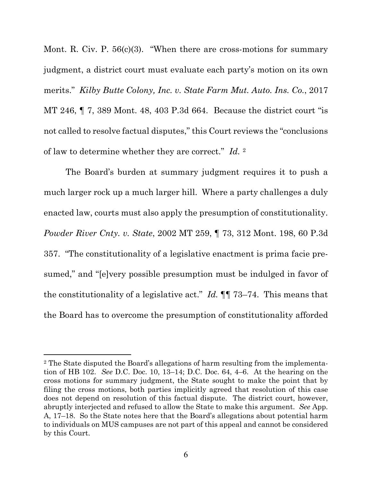Mont. R. Civ. P. 56(c)(3). "When there are cross-motions for summary judgment, a district court must evaluate each party's motion on its own merits." *Kilby Butte Colony, Inc. v. State Farm Mut. Auto. Ins. Co.*, 2017 MT 246, ¶ 7, 389 Mont. 48, 403 P.3d 664. Because the district court "is not called to resolve factual disputes," this Court reviews the "conclusions of law to determine whether they are correct." *Id.* 2

The Board's burden at summary judgment requires it to push a much larger rock up a much larger hill. Where a party challenges a duly enacted law, courts must also apply the presumption of constitutionality. *Powder River Cnty. v. State*, 2002 MT 259, ¶ 73, 312 Mont. 198, 60 P.3d 357. "The constitutionality of a legislative enactment is prima facie presumed," and "[e]very possible presumption must be indulged in favor of the constitutionality of a legislative act." *Id.* ¶¶ 73–74. This means that the Board has to overcome the presumption of constitutionality afforded

<sup>2</sup> The State disputed the Board's allegations of harm resulting from the implementation of HB 102. *See* D.C. Doc. 10, 13–14; D.C. Doc. 64, 4–6. At the hearing on the cross motions for summary judgment, the State sought to make the point that by filing the cross motions, both parties implicitly agreed that resolution of this case does not depend on resolution of this factual dispute. The district court, however, abruptly interjected and refused to allow the State to make this argument. *See* App. A, 17–18. So the State notes here that the Board's allegations about potential harm to individuals on MUS campuses are not part of this appeal and cannot be considered by this Court.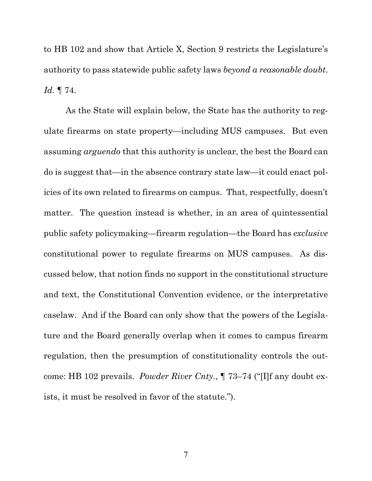to HB 102 and show that Article X, Section 9 restricts the Legislature's authority to pass statewide public safety laws *beyond a reasonable doubt*. *Id.* ¶ 74.

As the State will explain below, the State has the authority to regulate firearms on state property—including MUS campuses. But even assuming *arguendo* that this authority is unclear, the best the Board can do is suggest that—in the absence contrary state law—it could enact policies of its own related to firearms on campus. That, respectfully, doesn't matter. The question instead is whether, in an area of quintessential public safety policymaking—firearm regulation—the Board has *exclusive* constitutional power to regulate firearms on MUS campuses. As discussed below, that notion finds no support in the constitutional structure and text, the Constitutional Convention evidence, or the interpretative caselaw. And if the Board can only show that the powers of the Legislature and the Board generally overlap when it comes to campus firearm regulation, then the presumption of constitutionality controls the outcome: HB 102 prevails. *Powder River Cnty.*, ¶ 73–74 ("[I]f any doubt exists, it must be resolved in favor of the statute.").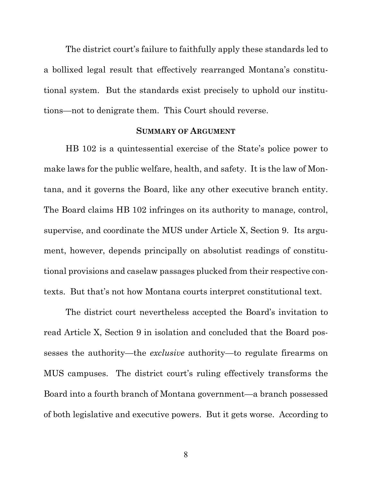The district court's failure to faithfully apply these standards led to a bollixed legal result that effectively rearranged Montana's constitutional system. But the standards exist precisely to uphold our institutions—not to denigrate them. This Court should reverse.

### **SUMMARY OF ARGUMENT**

HB 102 is a quintessential exercise of the State's police power to make laws for the public welfare, health, and safety. It is the law of Montana, and it governs the Board, like any other executive branch entity. The Board claims HB 102 infringes on its authority to manage, control, supervise, and coordinate the MUS under Article X, Section 9. Its argument, however, depends principally on absolutist readings of constitutional provisions and caselaw passages plucked from their respective contexts. But that's not how Montana courts interpret constitutional text.

The district court nevertheless accepted the Board's invitation to read Article X, Section 9 in isolation and concluded that the Board possesses the authority—the *exclusive* authority—to regulate firearms on MUS campuses. The district court's ruling effectively transforms the Board into a fourth branch of Montana government—a branch possessed of both legislative and executive powers. But it gets worse. According to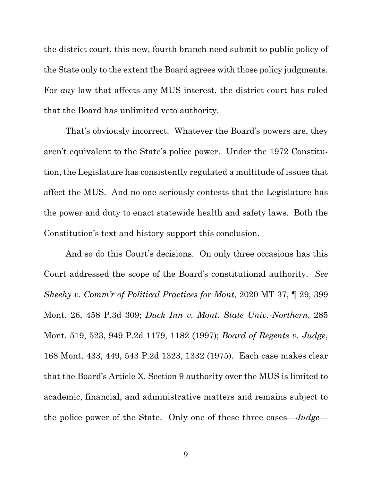the district court, this new, fourth branch need submit to public policy of the State only to the extent the Board agrees with those policy judgments. For *any* law that affects any MUS interest, the district court has ruled that the Board has unlimited veto authority.

That's obviously incorrect. Whatever the Board's powers are, they aren't equivalent to the State's police power. Under the 1972 Constitution, the Legislature has consistently regulated a multitude of issues that affect the MUS. And no one seriously contests that the Legislature has the power and duty to enact statewide health and safety laws. Both the Constitution's text and history support this conclusion.

And so do this Court's decisions. On only three occasions has this Court addressed the scope of the Board's constitutional authority. *See Sheehy v. Comm'r of Political Practices for Mont*, 2020 MT 37, ¶ 29, 399 Mont. 26, 458 P.3d 309; *Duck Inn v. Mont. State Univ.-Northern*, 285 Mont. 519, 523, 949 P.2d 1179, 1182 (1997); *Board of Regents v. Judge*, 168 Mont. 433, 449, 543 P.2d 1323, 1332 (1975). Each case makes clear that the Board's Article X, Section 9 authority over the MUS is limited to academic, financial, and administrative matters and remains subject to the police power of the State. Only one of these three cases—*Judge*—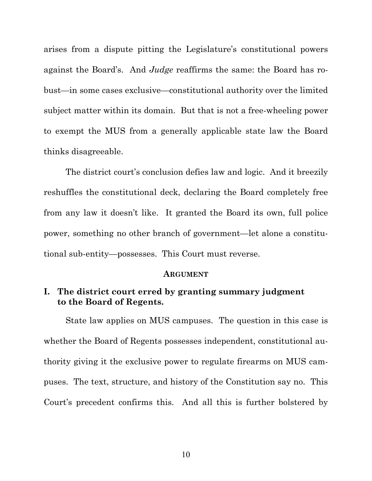arises from a dispute pitting the Legislature's constitutional powers against the Board's. And *Judge* reaffirms the same: the Board has robust—in some cases exclusive—constitutional authority over the limited subject matter within its domain. But that is not a free-wheeling power to exempt the MUS from a generally applicable state law the Board thinks disagreeable.

The district court's conclusion defies law and logic. And it breezily reshuffles the constitutional deck, declaring the Board completely free from any law it doesn't like. It granted the Board its own, full police power, something no other branch of government—let alone a constitutional sub-entity—possesses. This Court must reverse.

#### **ARGUMENT**

## **I. The district court erred by granting summary judgment to the Board of Regents.**

State law applies on MUS campuses. The question in this case is whether the Board of Regents possesses independent, constitutional authority giving it the exclusive power to regulate firearms on MUS campuses. The text, structure, and history of the Constitution say no. This Court's precedent confirms this. And all this is further bolstered by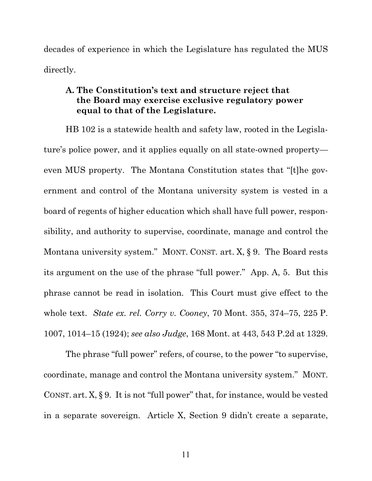decades of experience in which the Legislature has regulated the MUS directly.

## **A. The Constitution's text and structure reject that the Board may exercise exclusive regulatory power equal to that of the Legislature.**

HB 102 is a statewide health and safety law, rooted in the Legislature's police power, and it applies equally on all state-owned property even MUS property. The Montana Constitution states that "[t]he government and control of the Montana university system is vested in a board of regents of higher education which shall have full power, responsibility, and authority to supervise, coordinate, manage and control the Montana university system." MONT. CONST. art. X, § 9. The Board rests its argument on the use of the phrase "full power." App. A, 5. But this phrase cannot be read in isolation. This Court must give effect to the whole text. *State ex. rel. Corry v. Cooney*, 70 Mont. 355, 374–75, 225 P. 1007, 1014–15 (1924); *see also Judge*, 168 Mont. at 443, 543 P.2d at 1329.

The phrase "full power" refers, of course, to the power "to supervise, coordinate, manage and control the Montana university system." MONT. CONST. art. X, § 9. It is not "full power" that, for instance, would be vested in a separate sovereign. Article X, Section 9 didn't create a separate,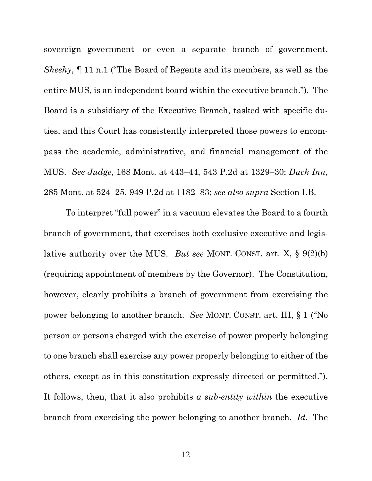sovereign government—or even a separate branch of government. *Sheehy*, ¶ 11 n.1 ("The Board of Regents and its members, as well as the entire MUS, is an independent board within the executive branch."). The Board is a subsidiary of the Executive Branch, tasked with specific duties, and this Court has consistently interpreted those powers to encompass the academic, administrative, and financial management of the MUS. *See Judge*, 168 Mont. at 443–44, 543 P.2d at 1329–30; *Duck Inn*, 285 Mont. at 524–25, 949 P.2d at 1182–83; *see also supra* Section I.B.

To interpret "full power" in a vacuum elevates the Board to a fourth branch of government, that exercises both exclusive executive and legislative authority over the MUS. *But see* MONT. CONST. art. X, § 9(2)(b) (requiring appointment of members by the Governor). The Constitution, however, clearly prohibits a branch of government from exercising the power belonging to another branch. *See* MONT. CONST. art. III, § 1 ("No person or persons charged with the exercise of power properly belonging to one branch shall exercise any power properly belonging to either of the others, except as in this constitution expressly directed or permitted."). It follows, then, that it also prohibits *a sub-entity within* the executive branch from exercising the power belonging to another branch. *Id.* The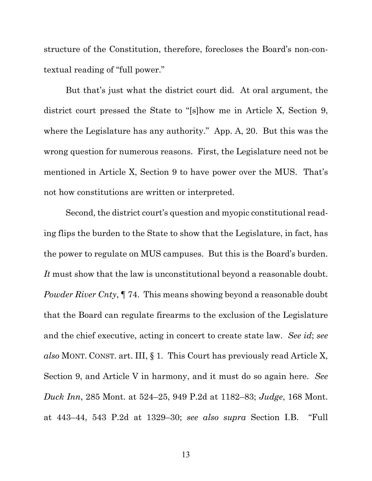structure of the Constitution, therefore, forecloses the Board's non-contextual reading of "full power."

But that's just what the district court did. At oral argument, the district court pressed the State to "[s]how me in Article X, Section 9, where the Legislature has any authority." App. A, 20. But this was the wrong question for numerous reasons. First, the Legislature need not be mentioned in Article X, Section 9 to have power over the MUS. That's not how constitutions are written or interpreted.

Second, the district court's question and myopic constitutional reading flips the burden to the State to show that the Legislature, in fact, has the power to regulate on MUS campuses. But this is the Board's burden. *It* must show that the law is unconstitutional beyond a reasonable doubt. *Powder River Cnty*, ¶ 74. This means showing beyond a reasonable doubt that the Board can regulate firearms to the exclusion of the Legislature and the chief executive, acting in concert to create state law. *See id*; *see also* MONT. CONST. art. III, § 1*.* This Court has previously read Article X, Section 9, and Article V in harmony, and it must do so again here. *See Duck Inn*, 285 Mont. at 524–25, 949 P.2d at 1182–83; *Judge*, 168 Mont. at 443–44, 543 P.2d at 1329–30; *see also supra* Section I.B. "Full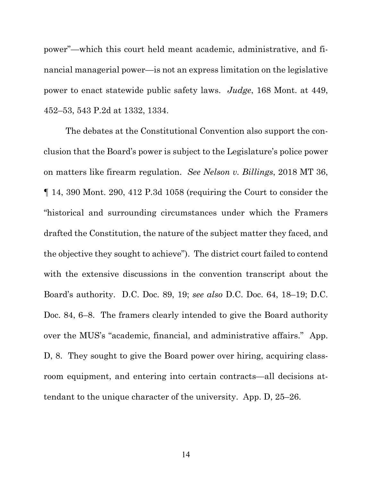power"—which this court held meant academic, administrative, and financial managerial power—is not an express limitation on the legislative power to enact statewide public safety laws. *Judge*, 168 Mont. at 449, 452–53, 543 P.2d at 1332, 1334.

The debates at the Constitutional Convention also support the conclusion that the Board's power is subject to the Legislature's police power on matters like firearm regulation. *See Nelson v. Billings*, 2018 MT 36, ¶ 14, 390 Mont. 290, 412 P.3d 1058 (requiring the Court to consider the "historical and surrounding circumstances under which the Framers drafted the Constitution, the nature of the subject matter they faced, and the objective they sought to achieve"). The district court failed to contend with the extensive discussions in the convention transcript about the Board's authority. D.C. Doc. 89, 19; *see also* D.C. Doc. 64, 18–19; D.C. Doc. 84, 6–8. The framers clearly intended to give the Board authority over the MUS's "academic, financial, and administrative affairs." App. D, 8. They sought to give the Board power over hiring, acquiring classroom equipment, and entering into certain contracts—all decisions attendant to the unique character of the university. App. D, 25–26.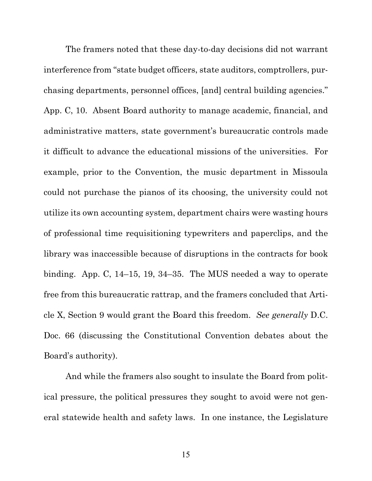The framers noted that these day-to-day decisions did not warrant interference from "state budget officers, state auditors, comptrollers, purchasing departments, personnel offices, [and] central building agencies." App. C, 10. Absent Board authority to manage academic, financial, and administrative matters, state government's bureaucratic controls made it difficult to advance the educational missions of the universities. For example, prior to the Convention, the music department in Missoula could not purchase the pianos of its choosing, the university could not utilize its own accounting system, department chairs were wasting hours of professional time requisitioning typewriters and paperclips, and the library was inaccessible because of disruptions in the contracts for book binding. App. C, 14–15, 19, 34–35. The MUS needed a way to operate free from this bureaucratic rattrap, and the framers concluded that Article X, Section 9 would grant the Board this freedom. *See generally* D.C. Doc. 66 (discussing the Constitutional Convention debates about the Board's authority).

And while the framers also sought to insulate the Board from political pressure, the political pressures they sought to avoid were not general statewide health and safety laws. In one instance, the Legislature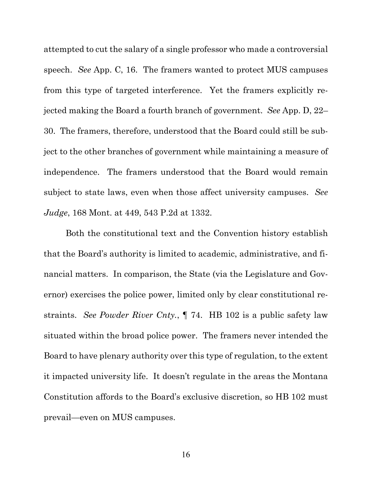attempted to cut the salary of a single professor who made a controversial speech. *See* App. C, 16. The framers wanted to protect MUS campuses from this type of targeted interference. Yet the framers explicitly rejected making the Board a fourth branch of government. *See* App. D, 22– 30. The framers, therefore, understood that the Board could still be subject to the other branches of government while maintaining a measure of independence. The framers understood that the Board would remain subject to state laws, even when those affect university campuses. *See Judge*, 168 Mont. at 449, 543 P.2d at 1332.

Both the constitutional text and the Convention history establish that the Board's authority is limited to academic, administrative, and financial matters. In comparison, the State (via the Legislature and Governor) exercises the police power, limited only by clear constitutional restraints. *See Powder River Cnty.*, ¶ 74. HB 102 is a public safety law situated within the broad police power. The framers never intended the Board to have plenary authority over this type of regulation, to the extent it impacted university life. It doesn't regulate in the areas the Montana Constitution affords to the Board's exclusive discretion, so HB 102 must prevail—even on MUS campuses.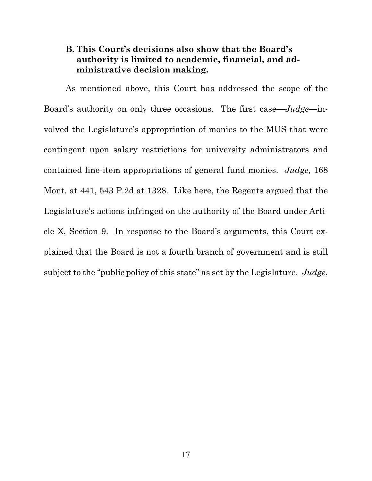## **B. This Court's decisions also show that the Board's authority is limited to academic, financial, and administrative decision making.**

As mentioned above, this Court has addressed the scope of the Board's authority on only three occasions. The first case—*Judge*—involved the Legislature's appropriation of monies to the MUS that were contingent upon salary restrictions for university administrators and contained line-item appropriations of general fund monies. *Judge*, 168 Mont. at 441, 543 P.2d at 1328. Like here, the Regents argued that the Legislature's actions infringed on the authority of the Board under Article X, Section 9. In response to the Board's arguments, this Court explained that the Board is not a fourth branch of government and is still subject to the "public policy of this state" as set by the Legislature. *Judge*,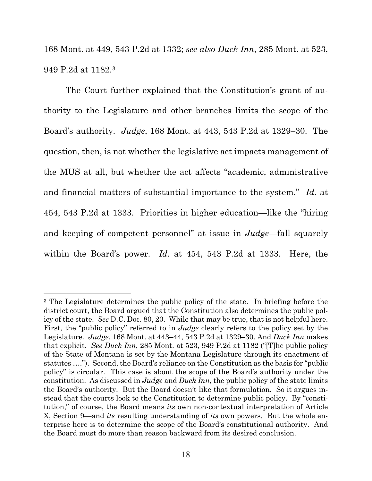168 Mont. at 449, 543 P.2d at 1332; *see also Duck Inn*, 285 Mont. at 523, 949 P.2d at 1182.3

The Court further explained that the Constitution's grant of authority to the Legislature and other branches limits the scope of the Board's authority. *Judge*, 168 Mont. at 443, 543 P.2d at 1329–30. The question, then, is not whether the legislative act impacts management of the MUS at all, but whether the act affects "academic, administrative and financial matters of substantial importance to the system." *Id.* at 454, 543 P.2d at 1333. Priorities in higher education—like the "hiring and keeping of competent personnel" at issue in *Judge*—fall squarely within the Board's power. *Id.* at 454, 543 P.2d at 1333. Here, the

<sup>3</sup> The Legislature determines the public policy of the state. In briefing before the district court, the Board argued that the Constitution also determines the public policy of the state. *See* D.C. Doc. 80, 20. While that may be true, that is not helpful here. First, the "public policy" referred to in *Judge* clearly refers to the policy set by the Legislature. *Judge*, 168 Mont. at 443–44, 543 P.2d at 1329–30. And *Duck Inn* makes that explicit. *See Duck Inn*, 285 Mont. at 523, 949 P.2d at 1182 ("[T]he public policy of the State of Montana is set by the Montana Legislature through its enactment of statutes …."). Second, the Board's reliance on the Constitution as the basis for "public policy" is circular. This case is about the scope of the Board's authority under the constitution. As discussed in *Judge* and *Duck Inn*, the public policy of the state limits the Board's authority. But the Board doesn't like that formulation. So it argues instead that the courts look to the Constitution to determine public policy. By "constitution," of course, the Board means *its* own non-contextual interpretation of Article X, Section 9—and *its* resulting understanding of *its* own powers. But the whole enterprise here is to determine the scope of the Board's constitutional authority. And the Board must do more than reason backward from its desired conclusion.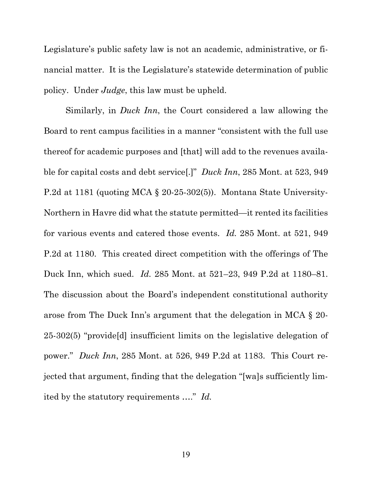Legislature's public safety law is not an academic, administrative, or financial matter. It is the Legislature's statewide determination of public policy. Under *Judge*, this law must be upheld.

Similarly, in *Duck Inn*, the Court considered a law allowing the Board to rent campus facilities in a manner "consistent with the full use thereof for academic purposes and [that] will add to the revenues available for capital costs and debt service[.]" *Duck Inn*, 285 Mont. at 523, 949 P.2d at 1181 (quoting MCA § 20-25-302(5)). Montana State University-Northern in Havre did what the statute permitted—it rented its facilities for various events and catered those events. *Id.* 285 Mont. at 521, 949 P.2d at 1180. This created direct competition with the offerings of The Duck Inn, which sued. *Id.* 285 Mont. at 521–23, 949 P.2d at 1180–81. The discussion about the Board's independent constitutional authority arose from The Duck Inn's argument that the delegation in MCA § 20- 25-302(5) "provide[d] insufficient limits on the legislative delegation of power." *Duck Inn*, 285 Mont. at 526, 949 P.2d at 1183. This Court rejected that argument, finding that the delegation "[wa]s sufficiently limited by the statutory requirements …." *Id.*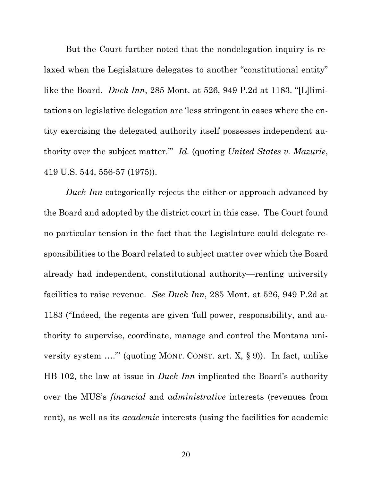But the Court further noted that the nondelegation inquiry is relaxed when the Legislature delegates to another "constitutional entity" like the Board. *Duck Inn*, 285 Mont. at 526, 949 P.2d at 1183. "[L]limitations on legislative delegation are 'less stringent in cases where the entity exercising the delegated authority itself possesses independent authority over the subject matter.'" *Id.* (quoting *United States v. Mazurie*, 419 U.S. 544, 556-57 (1975)).

*Duck Inn* categorically rejects the either-or approach advanced by the Board and adopted by the district court in this case. The Court found no particular tension in the fact that the Legislature could delegate responsibilities to the Board related to subject matter over which the Board already had independent, constitutional authority—renting university facilities to raise revenue. *See Duck Inn*, 285 Mont. at 526, 949 P.2d at 1183 ("Indeed, the regents are given 'full power, responsibility, and authority to supervise, coordinate, manage and control the Montana university system ….'" (quoting MONT. CONST. art. X, § 9)). In fact, unlike HB 102, the law at issue in *Duck Inn* implicated the Board's authority over the MUS's *financial* and *administrative* interests (revenues from rent), as well as its *academic* interests (using the facilities for academic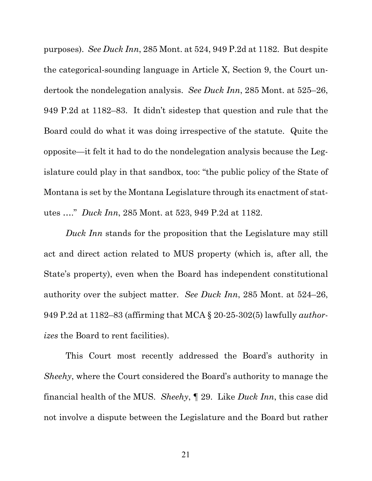purposes). *See Duck Inn*, 285 Mont. at 524, 949 P.2d at 1182. But despite the categorical-sounding language in Article X, Section 9, the Court undertook the nondelegation analysis. *See Duck Inn*, 285 Mont. at 525–26, 949 P.2d at 1182–83. It didn't sidestep that question and rule that the Board could do what it was doing irrespective of the statute. Quite the opposite—it felt it had to do the nondelegation analysis because the Legislature could play in that sandbox, too: "the public policy of the State of Montana is set by the Montana Legislature through its enactment of statutes …." *Duck Inn*, 285 Mont. at 523, 949 P.2d at 1182.

*Duck Inn* stands for the proposition that the Legislature may still act and direct action related to MUS property (which is, after all, the State's property), even when the Board has independent constitutional authority over the subject matter. *See Duck Inn*, 285 Mont. at 524–26, 949 P.2d at 1182–83 (affirming that MCA § 20-25-302(5) lawfully *authorizes* the Board to rent facilities).

This Court most recently addressed the Board's authority in *Sheehy*, where the Court considered the Board's authority to manage the financial health of the MUS. *Sheehy*, ¶ 29. Like *Duck Inn*, this case did not involve a dispute between the Legislature and the Board but rather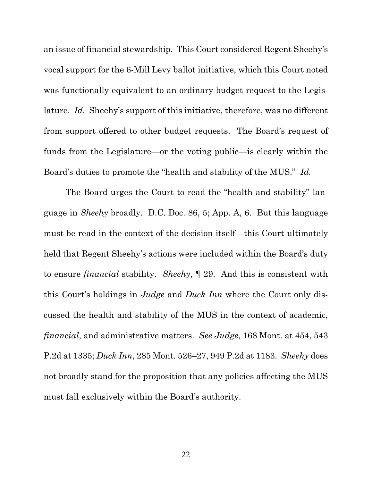an issue of financial stewardship.This Court considered Regent Sheehy's vocal support for the 6-Mill Levy ballot initiative, which this Court noted was functionally equivalent to an ordinary budget request to the Legislature. *Id.* Sheehy's support of this initiative, therefore, was no different from support offered to other budget requests. The Board's request of funds from the Legislature—or the voting public—is clearly within the Board's duties to promote the "health and stability of the MUS." *Id.*

The Board urges the Court to read the "health and stability" language in *Sheehy* broadly. D.C. Doc. 86, 5; App. A, 6. But this language must be read in the context of the decision itself—this Court ultimately held that Regent Sheehy's actions were included within the Board's duty to ensure *financial* stability. *Sheehy*, ¶ 29. And this is consistent with this Court's holdings in *Judge* and *Duck Inn* where the Court only discussed the health and stability of the MUS in the context of academic, *financial*, and administrative matters. *See Judge*, 168 Mont. at 454, 543 P.2d at 1335; *Duck Inn*, 285 Mont. 526–27, 949 P.2d at 1183. *Sheehy* does not broadly stand for the proposition that any policies affecting the MUS must fall exclusively within the Board's authority.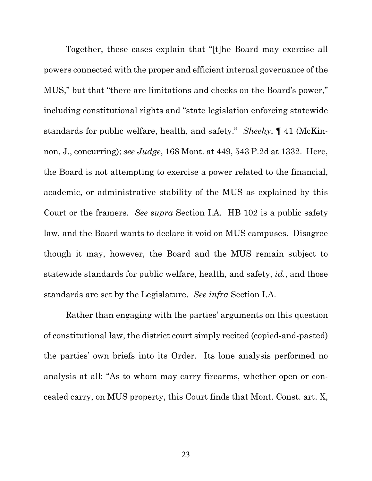Together, these cases explain that "[t]he Board may exercise all powers connected with the proper and efficient internal governance of the MUS," but that "there are limitations and checks on the Board's power," including constitutional rights and "state legislation enforcing statewide standards for public welfare, health, and safety." *Sheehy*, ¶ 41 (McKinnon, J., concurring); *see Judge*, 168 Mont. at 449, 543 P.2d at 1332. Here, the Board is not attempting to exercise a power related to the financial, academic, or administrative stability of the MUS as explained by this Court or the framers. *See supra* Section I.A. HB 102 is a public safety law, and the Board wants to declare it void on MUS campuses. Disagree though it may, however, the Board and the MUS remain subject to statewide standards for public welfare, health, and safety, *id.*, and those standards are set by the Legislature. *See infra* Section I.A.

Rather than engaging with the parties' arguments on this question of constitutional law, the district court simply recited (copied-and-pasted) the parties' own briefs into its Order. Its lone analysis performed no analysis at all: "As to whom may carry firearms, whether open or concealed carry, on MUS property, this Court finds that Mont. Const. art. X,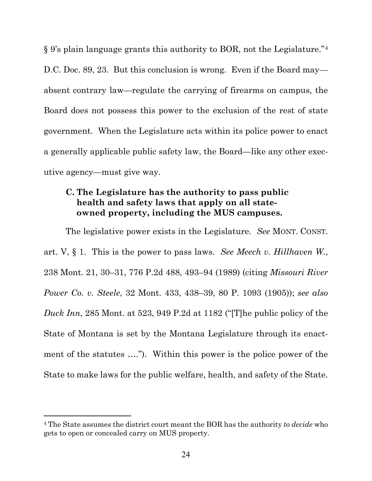§ 9's plain language grants this authority to BOR, not the Legislature."4 D.C. Doc. 89, 23. But this conclusion is wrong. Even if the Board may absent contrary law—regulate the carrying of firearms on campus, the Board does not possess this power to the exclusion of the rest of state government. When the Legislature acts within its police power to enact a generally applicable public safety law, the Board—like any other executive agency—must give way.

## **C. The Legislature has the authority to pass public health and safety laws that apply on all stateowned property, including the MUS campuses.**

The legislative power exists in the Legislature. *See* MONT. CONST. art. V, § 1. This is the power to pass laws. *See Meech v. Hillhaven W.*, 238 Mont. 21, 30–31, 776 P.2d 488, 493–94 (1989) (citing *Missouri River Power Co. v. Steele*, 32 Mont. 433, 438–39, 80 P. 1093 (1905)); *see also Duck Inn*, 285 Mont. at 523, 949 P.2d at 1182 ("[T]he public policy of the State of Montana is set by the Montana Legislature through its enactment of the statutes …."). Within this power is the police power of the State to make laws for the public welfare, health, and safety of the State.

<sup>4</sup> The State assumes the district court meant the BOR has the authority *to decide* who gets to open or concealed carry on MUS property.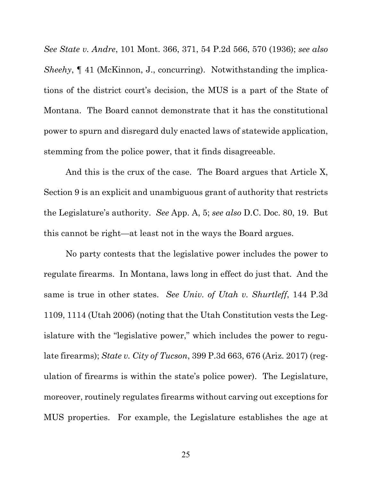*See State v. Andre*, 101 Mont. 366, 371, 54 P.2d 566, 570 (1936); *see also Sheehy*,  $\P$  41 (McKinnon, J., concurring). Notwithstanding the implications of the district court's decision, the MUS is a part of the State of Montana. The Board cannot demonstrate that it has the constitutional power to spurn and disregard duly enacted laws of statewide application, stemming from the police power, that it finds disagreeable.

And this is the crux of the case. The Board argues that Article X, Section 9 is an explicit and unambiguous grant of authority that restricts the Legislature's authority. *See* App. A, 5; *see also* D.C. Doc. 80, 19. But this cannot be right—at least not in the ways the Board argues.

No party contests that the legislative power includes the power to regulate firearms. In Montana, laws long in effect do just that. And the same is true in other states. *See Univ. of Utah v. Shurtleff*, 144 P.3d 1109, 1114 (Utah 2006) (noting that the Utah Constitution vests the Legislature with the "legislative power," which includes the power to regulate firearms); *State v. City of Tucson*, 399 P.3d 663, 676 (Ariz. 2017) (regulation of firearms is within the state's police power). The Legislature, moreover, routinely regulates firearms without carving out exceptions for MUS properties. For example, the Legislature establishes the age at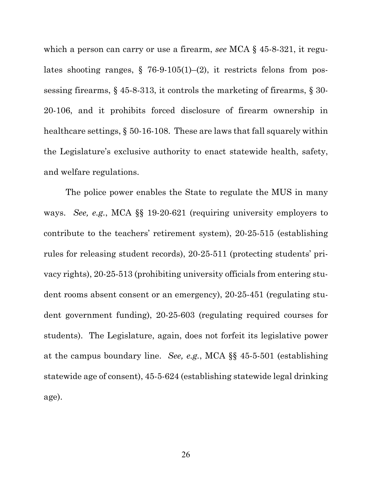which a person can carry or use a firearm, *see* MCA § 45-8-321, it regulates shooting ranges,  $\S$  76-9-105(1)–(2), it restricts felons from possessing firearms, § 45-8-313, it controls the marketing of firearms, § 30- 20-106, and it prohibits forced disclosure of firearm ownership in healthcare settings, § 50-16-108. These are laws that fall squarely within the Legislature's exclusive authority to enact statewide health, safety, and welfare regulations.

The police power enables the State to regulate the MUS in many ways. *See, e.g.*, MCA §§ 19-20-621 (requiring university employers to contribute to the teachers' retirement system), 20-25-515 (establishing rules for releasing student records), 20-25-511 (protecting students' privacy rights), 20-25-513 (prohibiting university officials from entering student rooms absent consent or an emergency), 20-25-451 (regulating student government funding), 20-25-603 (regulating required courses for students). The Legislature, again, does not forfeit its legislative power at the campus boundary line. *See, e.g.*, MCA §§ 45-5-501 (establishing statewide age of consent), 45-5-624 (establishing statewide legal drinking age).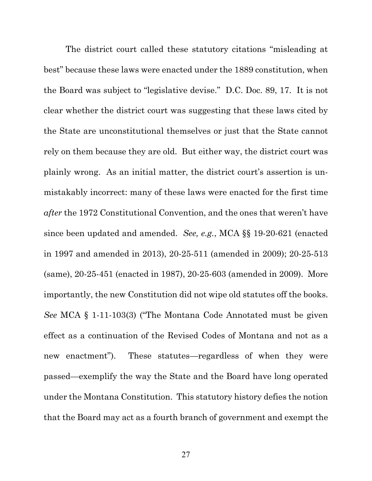The district court called these statutory citations "misleading at best" because these laws were enacted under the 1889 constitution, when the Board was subject to "legislative devise." D.C. Doc. 89, 17. It is not clear whether the district court was suggesting that these laws cited by the State are unconstitutional themselves or just that the State cannot rely on them because they are old. But either way, the district court was plainly wrong. As an initial matter, the district court's assertion is unmistakably incorrect: many of these laws were enacted for the first time *after* the 1972 Constitutional Convention, and the ones that weren't have since been updated and amended. *See, e.g.*, MCA §§ 19-20-621 (enacted in 1997 and amended in 2013), 20-25-511 (amended in 2009); 20-25-513 (same), 20-25-451 (enacted in 1987), 20-25-603 (amended in 2009). More importantly, the new Constitution did not wipe old statutes off the books. *See* MCA § 1-11-103(3) ("The Montana Code Annotated must be given effect as a continuation of the Revised Codes of Montana and not as a new enactment"). These statutes—regardless of when they were passed—exemplify the way the State and the Board have long operated under the Montana Constitution. This statutory history defies the notion that the Board may act as a fourth branch of government and exempt the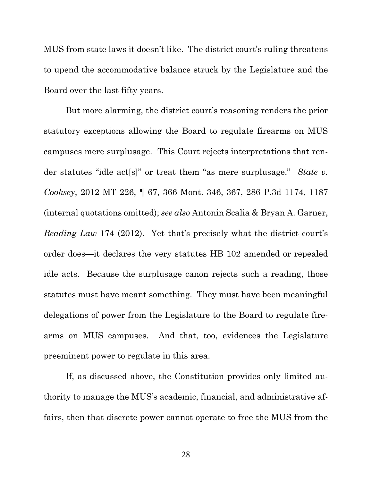MUS from state laws it doesn't like. The district court's ruling threatens to upend the accommodative balance struck by the Legislature and the Board over the last fifty years.

But more alarming, the district court's reasoning renders the prior statutory exceptions allowing the Board to regulate firearms on MUS campuses mere surplusage. This Court rejects interpretations that render statutes "idle act[s]" or treat them "as mere surplusage." *State v. Cooksey*, 2012 MT 226, ¶ 67, 366 Mont. 346, 367, 286 P.3d 1174, 1187 (internal quotations omitted); *see also* Antonin Scalia & Bryan A. Garner, *Reading Law* 174 (2012). Yet that's precisely what the district court's order does—it declares the very statutes HB 102 amended or repealed idle acts. Because the surplusage canon rejects such a reading, those statutes must have meant something. They must have been meaningful delegations of power from the Legislature to the Board to regulate firearms on MUS campuses. And that, too, evidences the Legislature preeminent power to regulate in this area.

If, as discussed above, the Constitution provides only limited authority to manage the MUS's academic, financial, and administrative affairs, then that discrete power cannot operate to free the MUS from the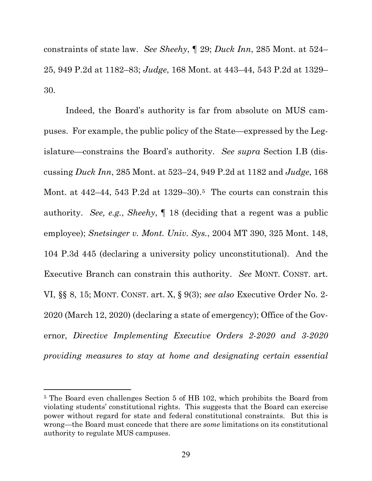constraints of state law. *See Sheehy*, ¶ 29; *Duck Inn*, 285 Mont. at 524– 25, 949 P.2d at 1182–83; *Judge*, 168 Mont. at 443–44, 543 P.2d at 1329– 30.

Indeed, the Board's authority is far from absolute on MUS campuses. For example, the public policy of the State—expressed by the Legislature—constrains the Board's authority. *See supra* Section I.B (discussing *Duck Inn*, 285 Mont. at 523–24, 949 P.2d at 1182 and *Judge*, 168 Mont. at  $442-44$ , 543 P.2d at  $1329-30$ .<sup>5</sup> The courts can constrain this authority. *See, e.g.*, *Sheehy*, ¶ 18 (deciding that a regent was a public employee); *Snetsinger v. Mont. Univ. Sys.*, 2004 MT 390, 325 Mont. 148, 104 P.3d 445 (declaring a university policy unconstitutional). And the Executive Branch can constrain this authority. *See* MONT. CONST. art. VI, §§ 8, 15; MONT. CONST. art. X, § 9(3); *see also* Executive Order No. 2- 2020 (March 12, 2020) (declaring a state of emergency); Office of the Governor, *Directive Implementing Executive Orders 2-2020 and 3-2020 providing measures to stay at home and designating certain essential* 

<sup>5</sup> The Board even challenges Section 5 of HB 102, which prohibits the Board from violating students' constitutional rights. This suggests that the Board can exercise power without regard for state and federal constitutional constraints. But this is wrong—the Board must concede that there are *some* limitations on its constitutional authority to regulate MUS campuses.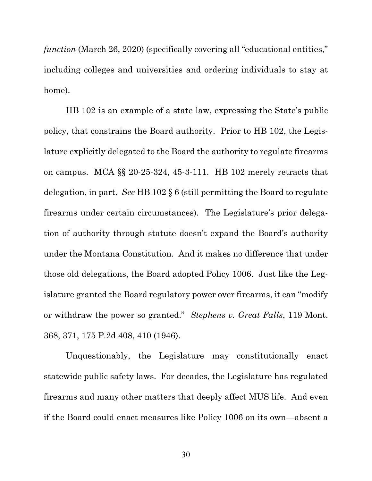*function* (March 26, 2020) (specifically covering all "educational entities," including colleges and universities and ordering individuals to stay at home).

HB 102 is an example of a state law, expressing the State's public policy, that constrains the Board authority. Prior to HB 102, the Legislature explicitly delegated to the Board the authority to regulate firearms on campus. MCA §§ 20-25-324, 45-3-111. HB 102 merely retracts that delegation, in part. *See* HB 102 § 6 (still permitting the Board to regulate firearms under certain circumstances). The Legislature's prior delegation of authority through statute doesn't expand the Board's authority under the Montana Constitution. And it makes no difference that under those old delegations, the Board adopted Policy 1006. Just like the Legislature granted the Board regulatory power over firearms, it can "modify or withdraw the power so granted." *Stephens v. Great Falls*, 119 Mont. 368, 371, 175 P.2d 408, 410 (1946).

Unquestionably, the Legislature may constitutionally enact statewide public safety laws. For decades, the Legislature has regulated firearms and many other matters that deeply affect MUS life. And even if the Board could enact measures like Policy 1006 on its own—absent a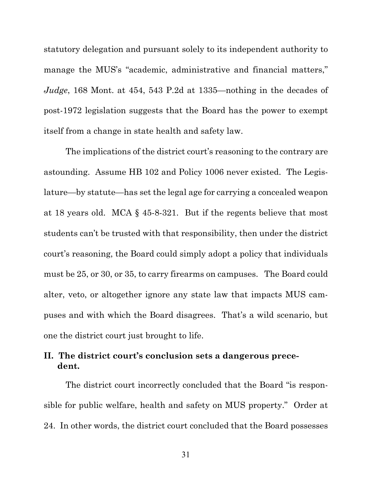statutory delegation and pursuant solely to its independent authority to manage the MUS's "academic, administrative and financial matters," *Judge*, 168 Mont. at 454, 543 P.2d at 1335—nothing in the decades of post-1972 legislation suggests that the Board has the power to exempt itself from a change in state health and safety law.

The implications of the district court's reasoning to the contrary are astounding. Assume HB 102 and Policy 1006 never existed. The Legislature—by statute—has set the legal age for carrying a concealed weapon at 18 years old. MCA § 45-8-321. But if the regents believe that most students can't be trusted with that responsibility, then under the district court's reasoning, the Board could simply adopt a policy that individuals must be 25, or 30, or 35, to carry firearms on campuses. The Board could alter, veto, or altogether ignore any state law that impacts MUS campuses and with which the Board disagrees. That's a wild scenario, but one the district court just brought to life.

## **II. The district court's conclusion sets a dangerous precedent.**

The district court incorrectly concluded that the Board "is responsible for public welfare, health and safety on MUS property." Order at 24. In other words, the district court concluded that the Board possesses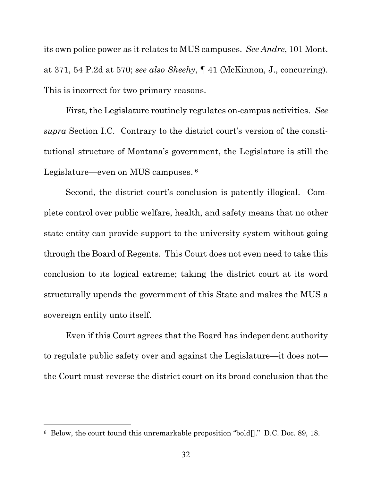its own police power as it relates to MUS campuses. *See Andre*, 101 Mont. at 371, 54 P.2d at 570; *see also Sheehy*, ¶ 41 (McKinnon, J., concurring). This is incorrect for two primary reasons.

First, the Legislature routinely regulates on-campus activities. *See supra* Section I.C. Contrary to the district court's version of the constitutional structure of Montana's government, the Legislature is still the Legislature—even on MUS campuses. 6

Second, the district court's conclusion is patently illogical. Complete control over public welfare, health, and safety means that no other state entity can provide support to the university system without going through the Board of Regents. This Court does not even need to take this conclusion to its logical extreme; taking the district court at its word structurally upends the government of this State and makes the MUS a sovereign entity unto itself.

Even if this Court agrees that the Board has independent authority to regulate public safety over and against the Legislature—it does not the Court must reverse the district court on its broad conclusion that the

<sup>6</sup> Below, the court found this unremarkable proposition "bold[]." D.C. Doc. 89, 18.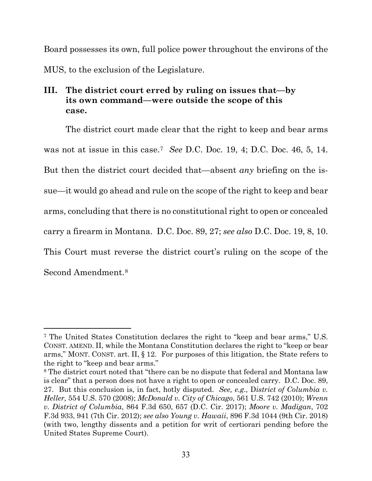Board possesses its own, full police power throughout the environs of the MUS, to the exclusion of the Legislature.

# **III. The district court erred by ruling on issues that—by its own command—were outside the scope of this case.**

The district court made clear that the right to keep and bear arms was not at issue in this case.7 *See* D.C. Doc. 19, 4; D.C. Doc. 46, 5, 14. But then the district court decided that—absent *any* briefing on the issue—it would go ahead and rule on the scope of the right to keep and bear arms, concluding that there is no constitutional right to open or concealed carry a firearm in Montana. D.C. Doc. 89, 27; *see also* D.C. Doc. 19, 8, 10. This Court must reverse the district court's ruling on the scope of the Second Amendment.8

<sup>7</sup> The United States Constitution declares the right to "keep and bear arms," U.S. CONST. AMEND. II, while the Montana Constitution declares the right to "keep or bear arms," MONT. CONST. art. II, § 12. For purposes of this litigation, the State refers to the right to "keep and bear arms."

<sup>8</sup> The district court noted that "there can be no dispute that federal and Montana law is clear" that a person does not have a right to open or concealed carry. D.C. Doc. 89, 27. But this conclusion is, in fact, hotly disputed. *See, e.g.,* D*istrict of Columbia v. Heller,* 554 U.S. 570 (2008); *McDonald v. City of Chicago*, 561 U.S. 742 (2010); *Wrenn v. District of Columbia*, 864 F.3d 650, 657 (D.C. Cir. 2017); *Moore v. Madigan*, 702 F.3d 933, 941 (7th Cir. 2012); *see also Young v. Hawaii*, 896 F.3d 1044 (9th Cir. 2018) (with two, lengthy dissents and a petition for writ of certiorari pending before the United States Supreme Court).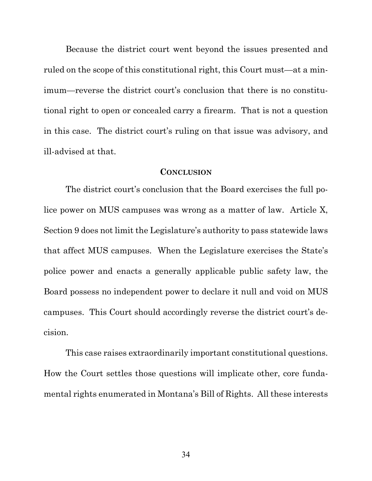Because the district court went beyond the issues presented and ruled on the scope of this constitutional right, this Court must—at a minimum—reverse the district court's conclusion that there is no constitutional right to open or concealed carry a firearm. That is not a question in this case. The district court's ruling on that issue was advisory, and ill-advised at that.

#### **CONCLUSION**

The district court's conclusion that the Board exercises the full police power on MUS campuses was wrong as a matter of law. Article X, Section 9 does not limit the Legislature's authority to pass statewide laws that affect MUS campuses. When the Legislature exercises the State's police power and enacts a generally applicable public safety law, the Board possess no independent power to declare it null and void on MUS campuses. This Court should accordingly reverse the district court's decision.

This case raises extraordinarily important constitutional questions. How the Court settles those questions will implicate other, core fundamental rights enumerated in Montana's Bill of Rights. All these interests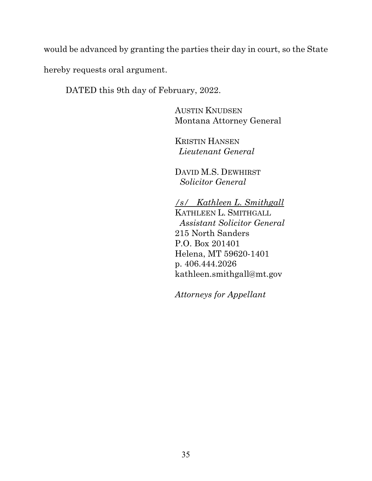would be advanced by granting the parties their day in court, so the State hereby requests oral argument.

DATED this 9th day of February, 2022.

AUSTIN KNUDSEN Montana Attorney General

KRISTIN HANSEN *Lieutenant General*

DAVID M.S. DEWHIRST *Solicitor General*

*/s/ Kathleen L. Smithgall* KATHLEEN L. SMITHGALL  *Assistant Solicitor General* 215 North Sanders P.O. Box 201401 Helena, MT 59620-1401 p. 406.444.2026 kathleen.smithgall@mt.gov

*Attorneys for Appellant*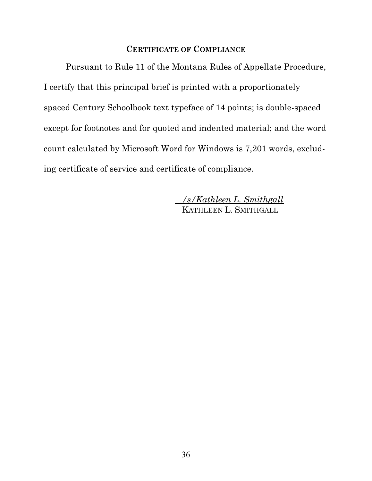### **CERTIFICATE OF COMPLIANCE**

Pursuant to Rule 11 of the Montana Rules of Appellate Procedure, I certify that this principal brief is printed with a proportionately spaced Century Schoolbook text typeface of 14 points; is double-spaced except for footnotes and for quoted and indented material; and the word count calculated by Microsoft Word for Windows is 7,201 words, excluding certificate of service and certificate of compliance.

> */s/Kathleen L. Smithgall* KATHLEEN L. SMITHGALL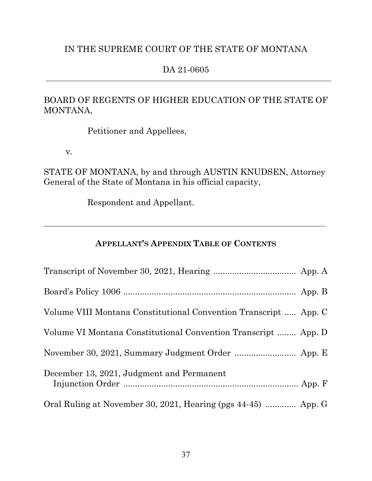# IN THE SUPREME COURT OF THE STATE OF MONTANA

## DA 21-0605

# BOARD OF REGENTS OF HIGHER EDUCATION OF THE STATE OF MONTANA,

Petitioner and Appellees,

v.

STATE OF MONTANA, by and through AUSTIN KNUDSEN, Attorney General of the State of Montana in his official capacity,

Respondent and Appellant.

# **APPELLANT'S APPENDIX TABLE OF CONTENTS**

| Volume VIII Montana Constitutional Convention Transcript  App. C |  |
|------------------------------------------------------------------|--|
| Volume VI Montana Constitutional Convention Transcript  App. D   |  |
|                                                                  |  |
| December 13, 2021, Judgment and Permanent                        |  |
| Oral Ruling at November 30, 2021, Hearing (pgs 44-45)  App. G    |  |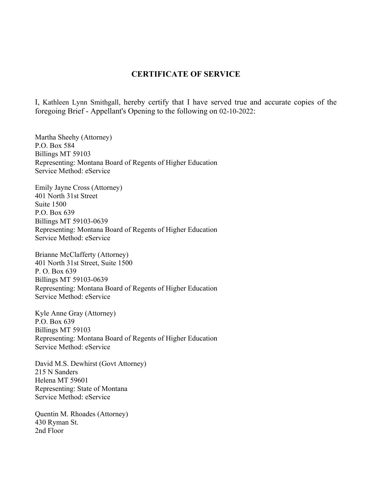### **CERTIFICATE OF SERVICE**

I, Kathleen Lynn Smithgall, hereby certify that I have served true and accurate copies of the foregoing Brief - Appellant's Opening to the following on 02-10-2022:

Martha Sheehy (Attorney) P.O. Box 584 Billings MT 59103 Representing: Montana Board of Regents of Higher Education Service Method: eService

Emily Jayne Cross (Attorney) 401 North 31st Street Suite 1500 P.O. Box 639 Billings MT 59103-0639 Representing: Montana Board of Regents of Higher Education Service Method: eService

Brianne McClafferty (Attorney) 401 North 31st Street, Suite 1500 P. O. Box 639 Billings MT 59103-0639 Representing: Montana Board of Regents of Higher Education Service Method: eService

Kyle Anne Gray (Attorney) P.O. Box 639 Billings MT 59103 Representing: Montana Board of Regents of Higher Education Service Method: eService

David M.S. Dewhirst (Govt Attorney) 215 N Sanders Helena MT 59601 Representing: State of Montana Service Method: eService

Quentin M. Rhoades (Attorney) 430 Ryman St. 2nd Floor